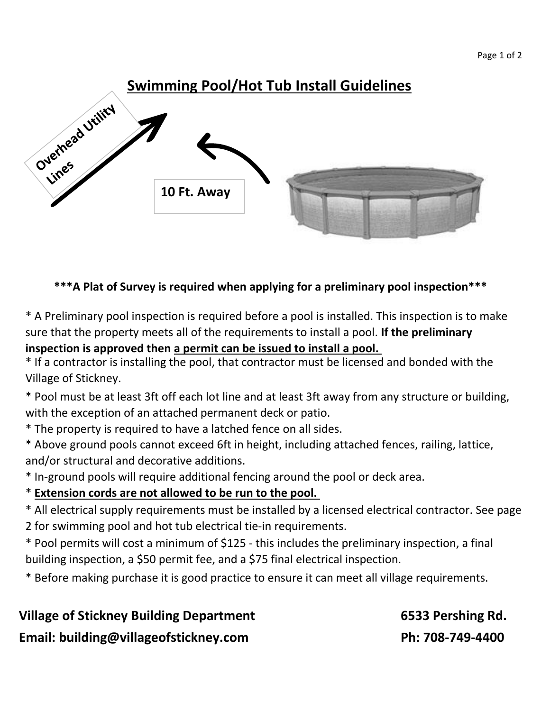# **Swimming Pool/Hot Tub Install Guidelines** Overhead Vrilicy **Vichics 10 Ft. Away**

#### **\*\*\*A Plat of Survey is required when applying for a preliminary pool inspection\*\*\***

\* A Preliminary pool inspection is required before a pool is installed. This inspection is to make sure that the property meets all of the requirements to install a pool. **If the preliminary inspection is approved then a permit can be issued to install a pool.** 

\* If a contractor is installing the pool, that contractor must be licensed and bonded with the Village of Stickney.

\* Pool must be at least 3ft off each lot line and at least 3ft away from any structure or building, with the exception of an attached permanent deck or patio.

- \* The property is required to have a latched fence on all sides.
- \* Above ground pools cannot exceed 6ft in height, including attached fences, railing, lattice, and/or structural and decorative additions.
- \* In-ground pools will require additional fencing around the pool or deck area.
- \* **Extension cords are not allowed to be run to the pool.**
- \* All electrical supply requirements must be installed by a licensed electrical contractor. See page
- 2 for swimming pool and hot tub electrical tie-in requirements.
- \* Pool permits will cost a minimum of \$125 this includes the preliminary inspection, a final building inspection, a \$50 permit fee, and a \$75 final electrical inspection.
- \* Before making purchase it is good practice to ensure it can meet all village requirements.

## **Village of Stickney Building Department 6533 Pershing Rd.**  Email: building@villageofstickney.com Ph: 708-749-4400